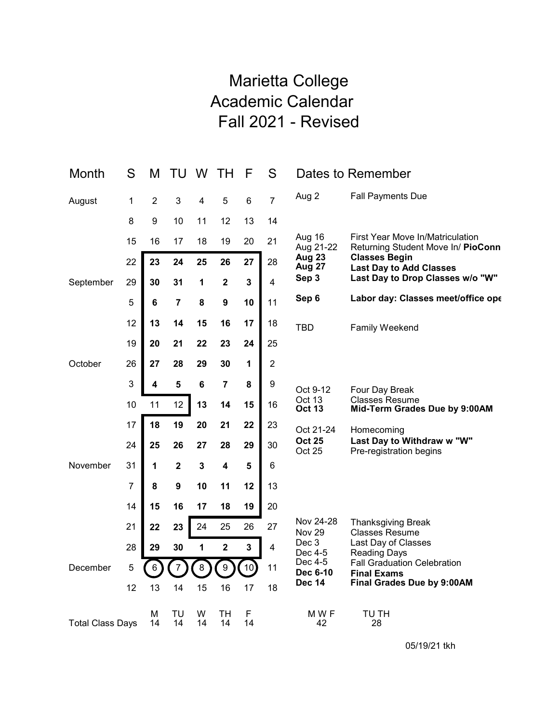## Marietta College Academic Calendar Fall 2021 - Revised

| Month                   | S              | M              | TU          | W               | TΗ                      | F       | S                       |                         | Dates to Remember                                                      |
|-------------------------|----------------|----------------|-------------|-----------------|-------------------------|---------|-------------------------|-------------------------|------------------------------------------------------------------------|
| August                  | 1              | $\overline{2}$ | 3           | 4               | 5                       | 6       | $\overline{7}$          | Aug 2                   | <b>Fall Payments Due</b>                                               |
|                         | 8              | 9              | 10          | 11              | 12                      | 13      | 14                      |                         |                                                                        |
|                         | 15             | 16             | 17          | 18              | 19                      | 20      | 21                      | Aug 16<br>Aug 21-22     | First Year Move In/Matriculation<br>Returning Student Move In/ PioConn |
|                         | 22             | 23             | 24          | 25              | 26                      | 27      | 28                      | <b>Aug 23</b><br>Aug 27 | <b>Classes Begin</b><br><b>Last Day to Add Classes</b>                 |
| September               | 29             | 30             | 31          | 1               | $\mathbf 2$             | 3       | 4                       | Sep 3                   | Last Day to Drop Classes w/o "W"                                       |
|                         | 5              | 6              | 7           | 8               | 9                       | 10      | 11                      | Sep 6                   | Labor day: Classes meet/office ope                                     |
|                         | 12             | 13             | 14          | 15              | 16                      | 17      | 18                      | <b>TBD</b>              | Family Weekend                                                         |
|                         | 19             | 20             | 21          | 22              | 23                      | 24      | 25                      |                         |                                                                        |
| October                 | 26             | 27             | 28          | 29              | 30                      | 1       | $\overline{2}$          |                         |                                                                        |
|                         | 3              | 4              | 5           | $6\phantom{1}6$ | $\overline{7}$          | 8       | 9                       | Oct 9-12                | Four Day Break                                                         |
|                         | 10             | 11             | 12          | 13              | 14                      | 15      | 16                      | Oct 13<br><b>Oct 13</b> | <b>Classes Resume</b><br>Mid-Term Grades Due by 9:00AM                 |
| November                | 17             | 18             | 19          | 20              | 21                      | 22      | 23                      | Oct 21-24               | Homecoming                                                             |
|                         | 24             | 25             | 26          | 27              | 28                      | 29      | 30                      | <b>Oct 25</b><br>Oct 25 | Last Day to Withdraw w "W"<br>Pre-registration begins                  |
|                         | 31             | 1              | $\mathbf 2$ | 3               | 4                       | 5       | 6                       |                         |                                                                        |
|                         | $\overline{7}$ | 8              | 9           | 10              | 11                      | 12      | 13                      |                         |                                                                        |
|                         | 14             | 15             | 16          | 17              | 18                      | 19      | 20                      |                         |                                                                        |
|                         | 21             | 22             | 23          | 24              | 25                      | 26      | 27                      | Nov 24-28<br>Nov 29     | <b>Thanksgiving Break</b><br><b>Classes Resume</b>                     |
| December                | 28             | 29             | 30          | 1               | $\overline{\mathbf{2}}$ | 3       | $\overline{\mathbf{4}}$ | Dec 3<br>Dec 4-5        | Last Day of Classes<br><b>Reading Days</b>                             |
|                         | 5              | 6              |             | 8               | 9                       | 10      | 11                      | Dec 4-5<br>Dec 6-10     | <b>Fall Graduation Celebration</b><br><b>Final Exams</b>               |
|                         | 12             | 13             | 14          | 15              | 16                      | 17      | 18                      | <b>Dec 14</b>           | Final Grades Due by 9:00AM                                             |
| <b>Total Class Days</b> |                | М<br>14        | TU<br>14    | W<br>14         | TН<br>14                | F<br>14 |                         | M W F<br>42             | TU TH<br>28                                                            |

05/19/21 tkh